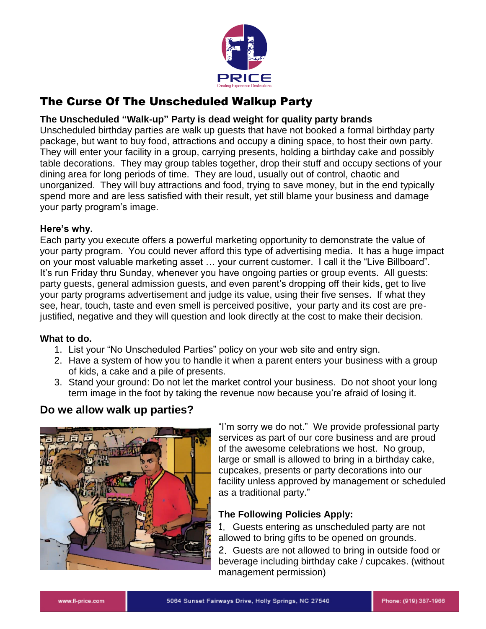

# The Curse Of The Unscheduled Walkup Party

### **The Unscheduled "Walk-up" Party is dead weight for quality party brands**

Unscheduled birthday parties are walk up guests that have not booked a formal birthday party package, but want to buy food, attractions and occupy a dining space, to host their own party. They will enter your facility in a group, carrying presents, holding a birthday cake and possibly table decorations. They may group tables together, drop their stuff and occupy sections of your dining area for long periods of time. They are loud, usually out of control, chaotic and unorganized. They will buy attractions and food, trying to save money, but in the end typically spend more and are less satisfied with their result, yet still blame your business and damage your party program's image.

#### **Here's why.**

Each party you execute offers a powerful marketing opportunity to demonstrate the value of your party program. You could never afford this type of advertising media. It has a huge impact on your most valuable marketing asset … your current customer. I call it the "Live Billboard". It's run Friday thru Sunday, whenever you have ongoing parties or group events. All guests: party guests, general admission guests, and even parent's dropping off their kids, get to live your party programs advertisement and judge its value, using their five senses. If what they see, hear, touch, taste and even smell is perceived positive, your party and its cost are prejustified, negative and they will question and look directly at the cost to make their decision.

#### **What to do.**

- 1. List your "No Unscheduled Parties" policy on your web site and entry sign.
- 2. Have a system of how you to handle it when a parent enters your business with a group of kids, a cake and a pile of presents.
- 3. Stand your ground: Do not let the market control your business. Do not shoot your long term image in the foot by taking the revenue now because you're afraid of losing it.

# **Do we allow walk up parties?**



"I'm sorry we do not." We provide professional party services as part of our core business and are proud of the awesome celebrations we host. No group, large or small is allowed to bring in a birthday cake, cupcakes, presents or party decorations into our facility unless approved by management or scheduled as a traditional party."

# **The Following Policies Apply:**

1. Guests entering as unscheduled party are not allowed to bring gifts to be opened on grounds.

2. Guests are not allowed to bring in outside food or beverage including birthday cake / cupcakes. (without management permission)